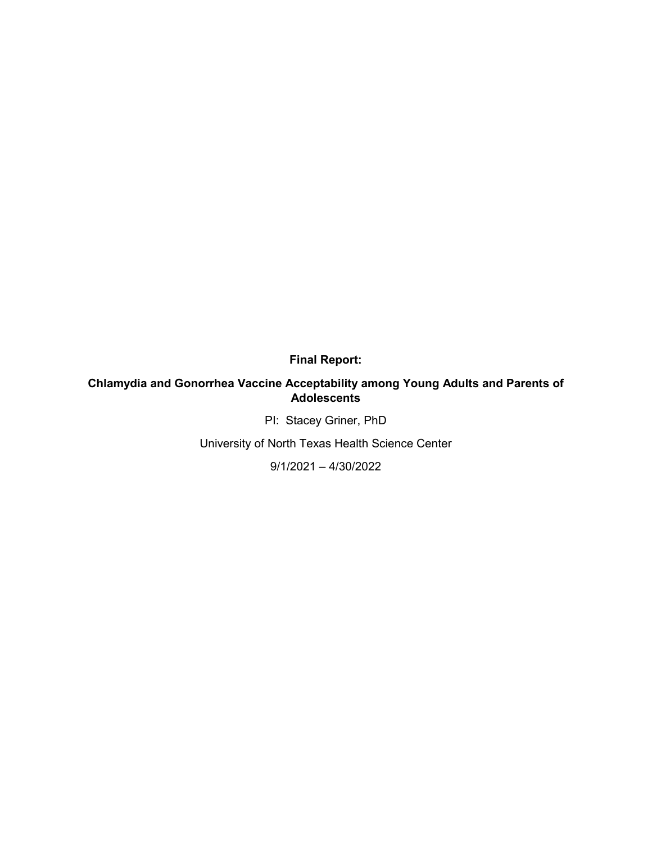**Final Report:**

## **Chlamydia and Gonorrhea Vaccine Acceptability among Young Adults and Parents of Adolescents**

PI: Stacey Griner, PhD

University of North Texas Health Science Center

9/1/2021 – 4/30/2022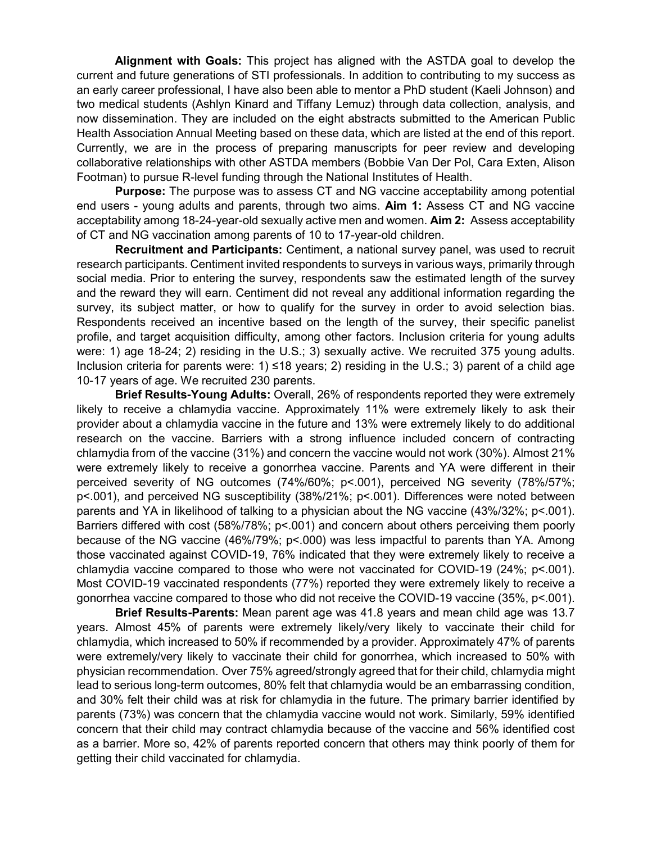**Alignment with Goals:** This project has aligned with the ASTDA goal to develop the current and future generations of STI professionals. In addition to contributing to my success as an early career professional, I have also been able to mentor a PhD student (Kaeli Johnson) and two medical students (Ashlyn Kinard and Tiffany Lemuz) through data collection, analysis, and now dissemination. They are included on the eight abstracts submitted to the American Public Health Association Annual Meeting based on these data, which are listed at the end of this report. Currently, we are in the process of preparing manuscripts for peer review and developing collaborative relationships with other ASTDA members (Bobbie Van Der Pol, Cara Exten, Alison Footman) to pursue R-level funding through the National Institutes of Health.

**Purpose:** The purpose was to assess CT and NG vaccine acceptability among potential end users - young adults and parents, through two aims. **Aim 1:** Assess CT and NG vaccine acceptability among 18-24-year-old sexually active men and women. **Aim 2:** Assess acceptability of CT and NG vaccination among parents of 10 to 17-year-old children.

**Recruitment and Participants:** Centiment, a national survey panel, was used to recruit research participants. Centiment invited respondents to surveys in various ways, primarily through social media. Prior to entering the survey, respondents saw the estimated length of the survey and the reward they will earn. Centiment did not reveal any additional information regarding the survey, its subject matter, or how to qualify for the survey in order to avoid selection bias. Respondents received an incentive based on the length of the survey, their specific panelist profile, and target acquisition difficulty, among other factors. Inclusion criteria for young adults were: 1) age 18-24; 2) residing in the U.S.; 3) sexually active. We recruited 375 young adults. Inclusion criteria for parents were: 1) ≤18 years; 2) residing in the U.S.; 3) parent of a child age 10-17 years of age. We recruited 230 parents.

**Brief Results-Young Adults:** Overall, 26% of respondents reported they were extremely likely to receive a chlamydia vaccine. Approximately 11% were extremely likely to ask their provider about a chlamydia vaccine in the future and 13% were extremely likely to do additional research on the vaccine. Barriers with a strong influence included concern of contracting chlamydia from of the vaccine (31%) and concern the vaccine would not work (30%). Almost 21% were extremely likely to receive a gonorrhea vaccine. Parents and YA were different in their perceived severity of NG outcomes (74%/60%; p<.001), perceived NG severity (78%/57%; p<.001), and perceived NG susceptibility (38%/21%; p<.001). Differences were noted between parents and YA in likelihood of talking to a physician about the NG vaccine (43%/32%; p<.001). Barriers differed with cost (58%/78%; p<.001) and concern about others perceiving them poorly because of the NG vaccine (46%/79%; p<.000) was less impactful to parents than YA. Among those vaccinated against COVID-19, 76% indicated that they were extremely likely to receive a chlamydia vaccine compared to those who were not vaccinated for COVID-19 (24%; p<.001). Most COVID-19 vaccinated respondents (77%) reported they were extremely likely to receive a gonorrhea vaccine compared to those who did not receive the COVID-19 vaccine (35%, p<.001).

**Brief Results-Parents:** Mean parent age was 41.8 years and mean child age was 13.7 years. Almost 45% of parents were extremely likely/very likely to vaccinate their child for chlamydia, which increased to 50% if recommended by a provider. Approximately 47% of parents were extremely/very likely to vaccinate their child for gonorrhea, which increased to 50% with physician recommendation. Over 75% agreed/strongly agreed that for their child, chlamydia might lead to serious long-term outcomes, 80% felt that chlamydia would be an embarrassing condition, and 30% felt their child was at risk for chlamydia in the future. The primary barrier identified by parents (73%) was concern that the chlamydia vaccine would not work. Similarly, 59% identified concern that their child may contract chlamydia because of the vaccine and 56% identified cost as a barrier. More so, 42% of parents reported concern that others may think poorly of them for getting their child vaccinated for chlamydia.